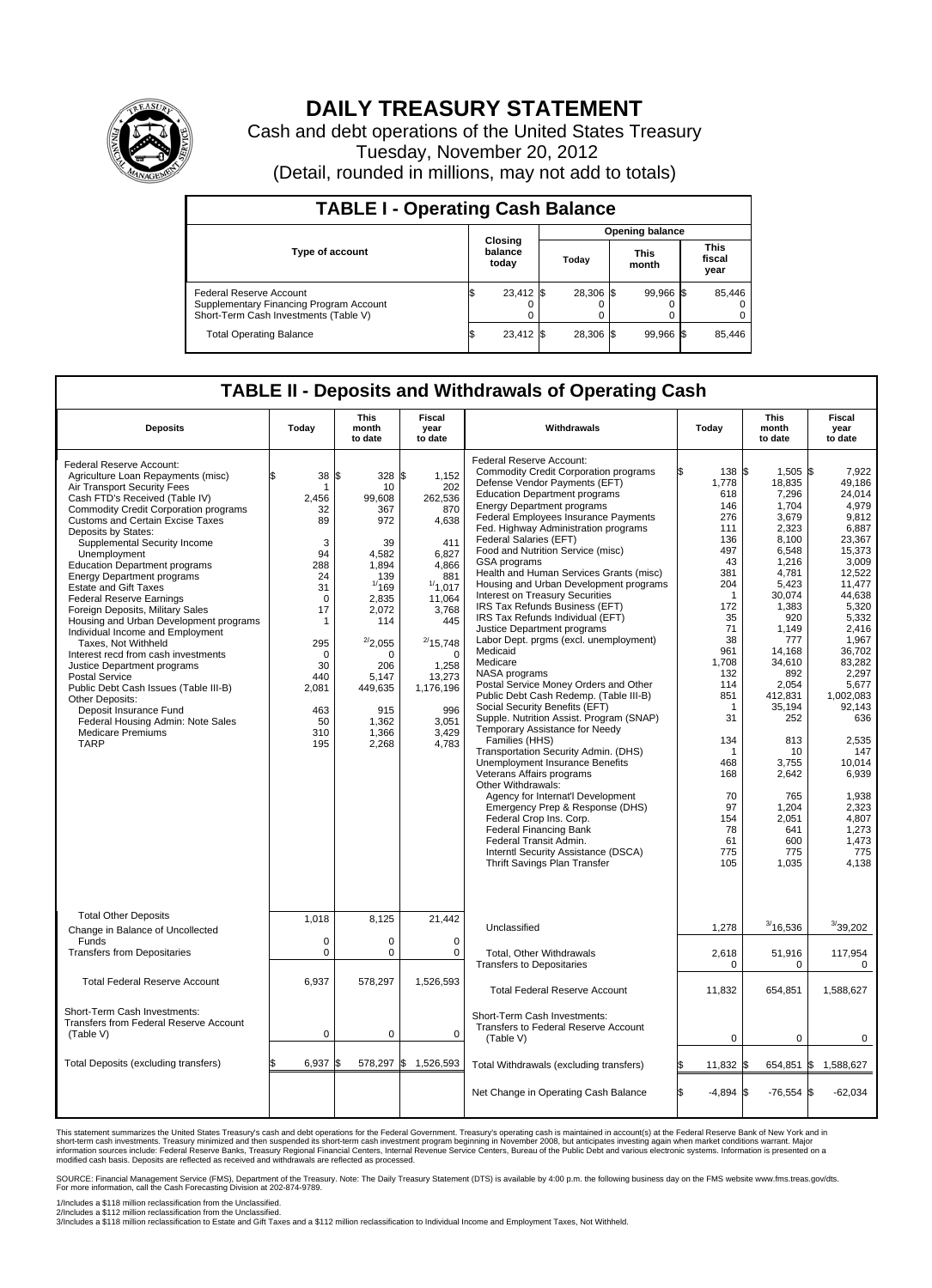

## **DAILY TREASURY STATEMENT**

Cash and debt operations of the United States Treasury Tuesday, November 20, 2012 (Detail, rounded in millions, may not add to totals)

| <b>TABLE I - Operating Cash Balance</b>                                                                     |                             |                 |                      |                               |  |  |  |  |  |  |
|-------------------------------------------------------------------------------------------------------------|-----------------------------|-----------------|----------------------|-------------------------------|--|--|--|--|--|--|
|                                                                                                             |                             | Opening balance |                      |                               |  |  |  |  |  |  |
| <b>Type of account</b>                                                                                      | Closing<br>balance<br>today | Today           | <b>This</b><br>month | <b>This</b><br>fiscal<br>year |  |  |  |  |  |  |
| Federal Reserve Account<br>Supplementary Financing Program Account<br>Short-Term Cash Investments (Table V) | $23,412$ \$<br>0            | 28,306 \$       | 99,966 \$            | 85,446<br>$\Omega$<br>0       |  |  |  |  |  |  |
| <b>Total Operating Balance</b>                                                                              | 23,412 \$                   | 28.306 \$       | 99,966 \$            | 85,446                        |  |  |  |  |  |  |

## **TABLE II - Deposits and Withdrawals of Operating Cash**

| <b>Deposits</b>                                                                                                                                                                                                                                                                                                                                                                                                                                                                                                                                                                                                                                                                                                                                                                                                                                                 | Today                                                                                                                                                    | <b>This</b><br>month<br>to date                                                                                                                                                                     | Fiscal<br>year<br>to date                                                                                                                                                                                          | Withdrawals                                                                                                                                                                                                                                                                                                                                                                                                                                                                                                                                                                                                                                                                                                                                                                                                                                                                                                                                                                                                                                                                                                                                                                                                                                                          | Today                                                                                                                                                                                                                                                          | <b>This</b><br>month<br>to date                                                                                                                                                                                                                                                                     | Fiscal<br>year<br>to date                                                                                                                                                                                                                                                                                               |
|-----------------------------------------------------------------------------------------------------------------------------------------------------------------------------------------------------------------------------------------------------------------------------------------------------------------------------------------------------------------------------------------------------------------------------------------------------------------------------------------------------------------------------------------------------------------------------------------------------------------------------------------------------------------------------------------------------------------------------------------------------------------------------------------------------------------------------------------------------------------|----------------------------------------------------------------------------------------------------------------------------------------------------------|-----------------------------------------------------------------------------------------------------------------------------------------------------------------------------------------------------|--------------------------------------------------------------------------------------------------------------------------------------------------------------------------------------------------------------------|----------------------------------------------------------------------------------------------------------------------------------------------------------------------------------------------------------------------------------------------------------------------------------------------------------------------------------------------------------------------------------------------------------------------------------------------------------------------------------------------------------------------------------------------------------------------------------------------------------------------------------------------------------------------------------------------------------------------------------------------------------------------------------------------------------------------------------------------------------------------------------------------------------------------------------------------------------------------------------------------------------------------------------------------------------------------------------------------------------------------------------------------------------------------------------------------------------------------------------------------------------------------|----------------------------------------------------------------------------------------------------------------------------------------------------------------------------------------------------------------------------------------------------------------|-----------------------------------------------------------------------------------------------------------------------------------------------------------------------------------------------------------------------------------------------------------------------------------------------------|-------------------------------------------------------------------------------------------------------------------------------------------------------------------------------------------------------------------------------------------------------------------------------------------------------------------------|
| Federal Reserve Account:<br>Agriculture Loan Repayments (misc)<br>Air Transport Security Fees<br>Cash FTD's Received (Table IV)<br><b>Commodity Credit Corporation programs</b><br><b>Customs and Certain Excise Taxes</b><br>Deposits by States:<br>Supplemental Security Income<br>Unemployment<br><b>Education Department programs</b><br><b>Energy Department programs</b><br><b>Estate and Gift Taxes</b><br><b>Federal Reserve Earnings</b><br>Foreign Deposits, Military Sales<br>Housing and Urban Development programs<br>Individual Income and Employment<br>Taxes, Not Withheld<br>Interest recd from cash investments<br>Justice Department programs<br><b>Postal Service</b><br>Public Debt Cash Issues (Table III-B)<br>Other Deposits:<br>Deposit Insurance Fund<br>Federal Housing Admin: Note Sales<br><b>Medicare Premiums</b><br><b>TARP</b> | 38<br>1<br>2,456<br>32<br>89<br>3<br>94<br>288<br>24<br>31<br>$\mathbf 0$<br>17<br>1<br>295<br>$\Omega$<br>30<br>440<br>2,081<br>463<br>50<br>310<br>195 | l\$<br>328<br>10<br>99,608<br>367<br>972<br>39<br>4,582<br>1,894<br>139<br>1/169<br>2,835<br>2,072<br>114<br>$^{2/2}$ ,055<br>$\Omega$<br>206<br>5.147<br>449,635<br>915<br>1,362<br>1,366<br>2,268 | 1,152<br>\$<br>202<br>262,536<br>870<br>4,638<br>411<br>6,827<br>4,866<br>881<br>1/1,017<br>11,064<br>3,768<br>445<br>$^{2/}$ 15,748<br>$\Omega$<br>1,258<br>13,273<br>1,176,196<br>996<br>3,051<br>3,429<br>4,783 | <b>Federal Reserve Account:</b><br><b>Commodity Credit Corporation programs</b><br>Defense Vendor Payments (EFT)<br><b>Education Department programs</b><br><b>Energy Department programs</b><br>Federal Employees Insurance Payments<br>Fed. Highway Administration programs<br>Federal Salaries (EFT)<br>Food and Nutrition Service (misc)<br>GSA programs<br>Health and Human Services Grants (misc)<br>Housing and Urban Development programs<br>Interest on Treasury Securities<br>IRS Tax Refunds Business (EFT)<br>IRS Tax Refunds Individual (EFT)<br>Justice Department programs<br>Labor Dept. prgms (excl. unemployment)<br>Medicaid<br>Medicare<br>NASA programs<br>Postal Service Money Orders and Other<br>Public Debt Cash Redemp. (Table III-B)<br>Social Security Benefits (EFT)<br>Supple. Nutrition Assist. Program (SNAP)<br>Temporary Assistance for Needy<br>Families (HHS)<br>Transportation Security Admin. (DHS)<br>Unemployment Insurance Benefits<br>Veterans Affairs programs<br>Other Withdrawals:<br>Agency for Internat'l Development<br>Emergency Prep & Response (DHS)<br>Federal Crop Ins. Corp.<br><b>Federal Financing Bank</b><br>Federal Transit Admin.<br>Interntl Security Assistance (DSCA)<br>Thrift Savings Plan Transfer | l\$<br>138 \$<br>1,778<br>618<br>146<br>276<br>111<br>136<br>497<br>43<br>381<br>204<br>$\mathbf{1}$<br>172<br>35<br>71<br>38<br>961<br>1,708<br>132<br>114<br>851<br>$\mathbf 1$<br>31<br>134<br>1<br>468<br>168<br>70<br>97<br>154<br>78<br>61<br>775<br>105 | 1,505 \$<br>18,835<br>7,296<br>1,704<br>3,679<br>2,323<br>8,100<br>6,548<br>1,216<br>4,781<br>5,423<br>30.074<br>1,383<br>920<br>1.149<br>777<br>14.168<br>34.610<br>892<br>2,054<br>412,831<br>35.194<br>252<br>813<br>10<br>3,755<br>2,642<br>765<br>1,204<br>2,051<br>641<br>600<br>775<br>1,035 | 7.922<br>49.186<br>24.014<br>4,979<br>9,812<br>6.887<br>23,367<br>15,373<br>3.009<br>12,522<br>11,477<br>44.638<br>5,320<br>5,332<br>2.416<br>1,967<br>36,702<br>83.282<br>2,297<br>5,677<br>1,002,083<br>92.143<br>636<br>2,535<br>147<br>10.014<br>6,939<br>1.938<br>2,323<br>4,807<br>1,273<br>1,473<br>775<br>4.138 |
| <b>Total Other Deposits</b><br>Change in Balance of Uncollected<br>Funds                                                                                                                                                                                                                                                                                                                                                                                                                                                                                                                                                                                                                                                                                                                                                                                        | 1,018<br>0                                                                                                                                               | 8,125<br>$\mathbf 0$                                                                                                                                                                                | 21,442<br>$\Omega$                                                                                                                                                                                                 | Unclassified                                                                                                                                                                                                                                                                                                                                                                                                                                                                                                                                                                                                                                                                                                                                                                                                                                                                                                                                                                                                                                                                                                                                                                                                                                                         | 1,278                                                                                                                                                                                                                                                          | 3/16,536                                                                                                                                                                                                                                                                                            | 3/39,202                                                                                                                                                                                                                                                                                                                |
| <b>Transfers from Depositaries</b>                                                                                                                                                                                                                                                                                                                                                                                                                                                                                                                                                                                                                                                                                                                                                                                                                              | $\mathbf 0$                                                                                                                                              | $\mathbf 0$                                                                                                                                                                                         | $\mathbf 0$                                                                                                                                                                                                        | Total, Other Withdrawals<br><b>Transfers to Depositaries</b>                                                                                                                                                                                                                                                                                                                                                                                                                                                                                                                                                                                                                                                                                                                                                                                                                                                                                                                                                                                                                                                                                                                                                                                                         | 2,618<br>0                                                                                                                                                                                                                                                     | 51,916<br>$\mathbf 0$                                                                                                                                                                                                                                                                               | 117,954<br>0                                                                                                                                                                                                                                                                                                            |
| <b>Total Federal Reserve Account</b>                                                                                                                                                                                                                                                                                                                                                                                                                                                                                                                                                                                                                                                                                                                                                                                                                            | 6,937                                                                                                                                                    | 578,297                                                                                                                                                                                             | 1,526,593                                                                                                                                                                                                          | <b>Total Federal Reserve Account</b>                                                                                                                                                                                                                                                                                                                                                                                                                                                                                                                                                                                                                                                                                                                                                                                                                                                                                                                                                                                                                                                                                                                                                                                                                                 | 11,832                                                                                                                                                                                                                                                         | 654,851                                                                                                                                                                                                                                                                                             | 1,588,627                                                                                                                                                                                                                                                                                                               |
| Short-Term Cash Investments:<br>Transfers from Federal Reserve Account<br>(Table V)                                                                                                                                                                                                                                                                                                                                                                                                                                                                                                                                                                                                                                                                                                                                                                             | 0                                                                                                                                                        | $\mathbf 0$                                                                                                                                                                                         | $\mathbf 0$                                                                                                                                                                                                        | Short-Term Cash Investments:<br>Transfers to Federal Reserve Account<br>(Table V)                                                                                                                                                                                                                                                                                                                                                                                                                                                                                                                                                                                                                                                                                                                                                                                                                                                                                                                                                                                                                                                                                                                                                                                    | 0                                                                                                                                                                                                                                                              | $\mathbf 0$                                                                                                                                                                                                                                                                                         | 0                                                                                                                                                                                                                                                                                                                       |
| Total Deposits (excluding transfers)                                                                                                                                                                                                                                                                                                                                                                                                                                                                                                                                                                                                                                                                                                                                                                                                                            | 6,937                                                                                                                                                    | 578,297 \$<br>\$                                                                                                                                                                                    | 1,526,593                                                                                                                                                                                                          | Total Withdrawals (excluding transfers)                                                                                                                                                                                                                                                                                                                                                                                                                                                                                                                                                                                                                                                                                                                                                                                                                                                                                                                                                                                                                                                                                                                                                                                                                              | 11,832                                                                                                                                                                                                                                                         | 654,851                                                                                                                                                                                                                                                                                             | 1\$<br>1,588,627                                                                                                                                                                                                                                                                                                        |
|                                                                                                                                                                                                                                                                                                                                                                                                                                                                                                                                                                                                                                                                                                                                                                                                                                                                 |                                                                                                                                                          |                                                                                                                                                                                                     |                                                                                                                                                                                                                    | Net Change in Operating Cash Balance                                                                                                                                                                                                                                                                                                                                                                                                                                                                                                                                                                                                                                                                                                                                                                                                                                                                                                                                                                                                                                                                                                                                                                                                                                 | $-4,894$ \$                                                                                                                                                                                                                                                    | $-76,554$ \$                                                                                                                                                                                                                                                                                        | $-62,034$                                                                                                                                                                                                                                                                                                               |

This statement summarizes the United States Treasury's cash and debt operations for the Federal Government. Treasury's operating cash is maintained in account(s) at the Federal Reserve Bank of New York and in<br>short-term ca

SOURCE: Financial Management Service (FMS), Department of the Treasury. Note: The Daily Treasury Statement (DTS) is available by 4:00 p.m. the following business day on the FMS website www.fms.treas.gov/dts.<br>For more infor

1/Includes a \$118 million reclassification from the Unclassified.

2/Includes a \$112 million reclassification from the Unclassified.<br>3/Includes a \$118 million reclassification to Estate and Gift Taxes and a \$112 million reclassification to Individual Income and Employment Taxes, Not Withh